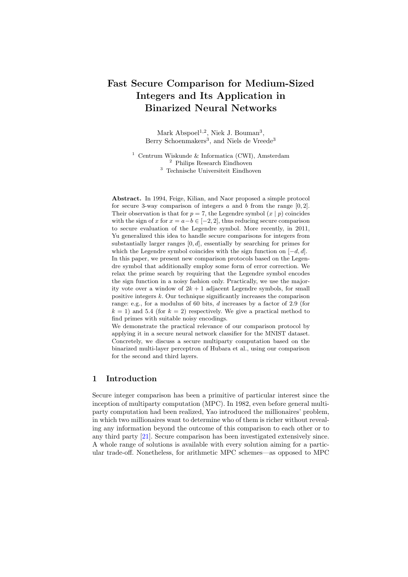# Fast Secure Comparison for Medium-Sized Integers and Its Application in Binarized Neural Networks

Mark Abspoel<sup>1,2</sup>, Niek J. Bouman<sup>3</sup>, Berry Schoenmakers<sup>3</sup>, and Niels de Vreede<sup>3</sup>

<sup>1</sup> Centrum Wiskunde & Informatica (CWI), Amsterdam <sup>2</sup> Philips Research Eindhoven <sup>3</sup> Technische Universiteit Eindhoven

Abstract. In 1994, Feige, Kilian, and Naor proposed a simple protocol for secure 3-way comparison of integers  $a$  and  $b$  from the range  $[0, 2]$ . Their observation is that for  $p = 7$ , the Legendre symbol  $(x | p)$  coincides with the sign of x for  $x = a-b \in [-2, 2]$ , thus reducing secure comparison to secure evaluation of the Legendre symbol. More recently, in 2011, Yu generalized this idea to handle secure comparisons for integers from substantially larger ranges  $[0, d]$ , essentially by searching for primes for which the Legendre symbol coincides with the sign function on  $[-d, d]$ . In this paper, we present new comparison protocols based on the Legendre symbol that additionally employ some form of error correction. We relax the prime search by requiring that the Legendre symbol encodes the sign function in a noisy fashion only. Practically, we use the majority vote over a window of  $2k + 1$  adjacent Legendre symbols, for small positive integers  $k$ . Our technique significantly increases the comparison range: e.g., for a modulus of 60 bits, d increases by a factor of 2.9 (for  $k = 1$ ) and 5.4 (for  $k = 2$ ) respectively. We give a practical method to find primes with suitable noisy encodings.

We demonstrate the practical relevance of our comparison protocol by applying it in a secure neural network classifier for the MNIST dataset. Concretely, we discuss a secure multiparty computation based on the binarized multi-layer perceptron of Hubara et al., using our comparison for the second and third layers.

## 1 Introduction

Secure integer comparison has been a primitive of particular interest since the inception of multiparty computation (MPC). In 1982, even before general multiparty computation had been realized, Yao introduced the millionaires' problem, in which two millionaires want to determine who of them is richer without revealing any information beyond the outcome of this comparison to each other or to any third party [\[21\]](#page-22-0). Secure comparison has been investigated extensively since. A whole range of solutions is available with every solution aiming for a particular trade-off. Nonetheless, for arithmetic MPC schemes—as opposed to MPC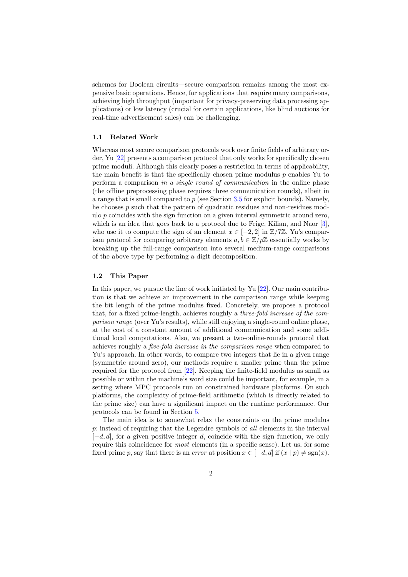schemes for Boolean circuits—secure comparison remains among the most expensive basic operations. Hence, for applications that require many comparisons, achieving high throughput (important for privacy-preserving data processing applications) or low latency (crucial for certain applications, like blind auctions for real-time advertisement sales) can be challenging.

#### 1.1 Related Work

Whereas most secure comparison protocols work over finite fields of arbitrary order, Yu [\[22\]](#page-22-1) presents a comparison protocol that only works for specifically chosen prime moduli. Although this clearly poses a restriction in terms of applicability, the main benefit is that the specifically chosen prime modulus  $p$  enables Yu to perform a comparison in a single round of communication in the online phase (the offline preprocessing phase requires three communication rounds), albeit in a range that is small compared to  $p$  (see Section [3.5](#page-7-0) for explicit bounds). Namely, he chooses p such that the pattern of quadratic residues and non-residues modulo  $p$  coincides with the sign function on a given interval symmetric around zero, which is an idea that goes back to a protocol due to Feige, Kilian, and Naor [\[3\]](#page-21-0), who use it to compute the sign of an element  $x \in [-2, 2]$  in  $\mathbb{Z}/7\mathbb{Z}$ . Yu's comparison protocol for comparing arbitrary elements  $a, b \in \mathbb{Z}/p\mathbb{Z}$  essentially works by breaking up the full-range comparison into several medium-range comparisons of the above type by performing a digit decomposition.

#### 1.2 This Paper

In this paper, we pursue the line of work initiated by Yu [\[22\]](#page-22-1). Our main contribution is that we achieve an improvement in the comparison range while keeping the bit length of the prime modulus fixed. Concretely, we propose a protocol that, for a fixed prime-length, achieves roughly a three-fold increase of the comparison range (over Yu's results), while still enjoying a single-round online phase, at the cost of a constant amount of additional communication and some additional local computations. Also, we present a two-online-rounds protocol that achieves roughly a five-fold increase in the comparison range when compared to Yu's approach. In other words, to compare two integers that lie in a given range (symmetric around zero), our methods require a smaller prime than the prime required for the protocol from [\[22\]](#page-22-1). Keeping the finite-field modulus as small as possible or within the machine's word size could be important, for example, in a setting where MPC protocols run on constrained hardware platforms. On such platforms, the complexity of prime-field arithmetic (which is directly related to the prime size) can have a significant impact on the runtime performance. Our protocols can be found in Section [5.](#page-16-0)

The main idea is to somewhat relax the constraints on the prime modulus p: instead of requiring that the Legendre symbols of all elements in the interval  $[-d, d]$ , for a given positive integer d, coincide with the sign function, we only require this coincidence for most elements (in a specific sense). Let us, for some fixed prime p, say that there is an *error* at position  $x \in [-d, d]$  if  $(x | p) \neq \text{sgn}(x)$ .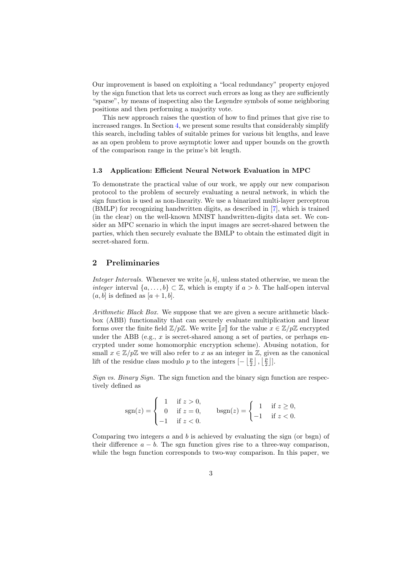Our improvement is based on exploiting a "local redundancy" property enjoyed by the sign function that lets us correct such errors as long as they are sufficiently "sparse", by means of inspecting also the Legendre symbols of some neighboring positions and then performing a majority vote.

This new approach raises the question of how to find primes that give rise to increased ranges. In Section [4,](#page-9-0) we present some results that considerably simplify this search, including tables of suitable primes for various bit lengths, and leave as an open problem to prove asymptotic lower and upper bounds on the growth of the comparison range in the prime's bit length.

#### 1.3 Application: Efficient Neural Network Evaluation in MPC

To demonstrate the practical value of our work, we apply our new comparison protocol to the problem of securely evaluating a neural network, in which the sign function is used as non-linearity. We use a binarized multi-layer perceptron (BMLP) for recognizing handwritten digits, as described in [\[7\]](#page-21-1), which is trained (in the clear) on the well-known MNIST handwritten-digits data set. We consider an MPC scenario in which the input images are secret-shared between the parties, which then securely evaluate the BMLP to obtain the estimated digit in secret-shared form.

## 2 Preliminaries

Integer Intervals. Whenever we write  $[a, b]$ , unless stated otherwise, we mean the integer interval  $\{a, \ldots, b\} \subset \mathbb{Z}$ , which is empty if  $a > b$ . The half-open interval  $(a, b]$  is defined as  $[a + 1, b]$ .

Arithmetic Black Box. We suppose that we are given a secure arithmetic blackbox (ABB) functionality that can securely evaluate multiplication and linear forms over the finite field  $\mathbb{Z}/p\mathbb{Z}$ . We write  $\llbracket x \rrbracket$  for the value  $x \in \mathbb{Z}/p\mathbb{Z}$  encrypted under the ABB (e.g.,  $x$  is secret-shared among a set of parties, or perhaps encrypted under some homomorphic encryption scheme). Abusing notation, for small  $x \in \mathbb{Z}/p\mathbb{Z}$  we will also refer to x as an integer in  $\mathbb{Z}$ , given as the canonical lift of the residue class modulo p to the integers  $\left[-\left\lfloor \frac{p}{2}\right\rfloor,\left\lfloor \frac{p}{2}\right\rfloor\right]$ .

Sign vs. Binary Sign. The sign function and the binary sign function are respectively defined as

$$
sgn(z) = \begin{cases} 1 & \text{if } z > 0, \\ 0 & \text{if } z = 0, \\ -1 & \text{if } z < 0. \end{cases} \qquad \text{bsgn}(z) = \begin{cases} 1 & \text{if } z \ge 0, \\ -1 & \text{if } z < 0. \end{cases}
$$

Comparing two integers  $a$  and  $b$  is achieved by evaluating the sign (or bsgn) of their difference  $a - b$ . The sgn function gives rise to a three-way comparison, while the bsgn function corresponds to two-way comparison. In this paper, we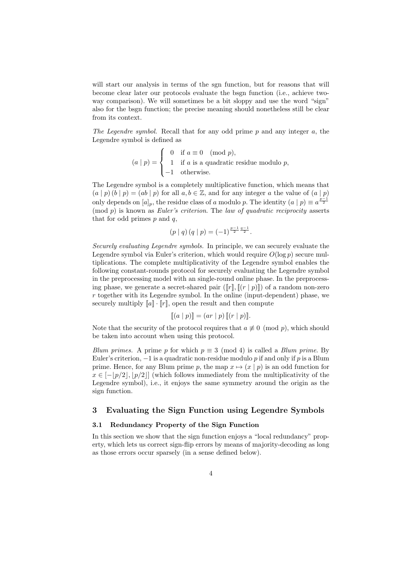will start our analysis in terms of the sgn function, but for reasons that will become clear later our protocols evaluate the bsgn function (i.e., achieve twoway comparison). We will sometimes be a bit sloppy and use the word "sign" also for the bsgn function; the precise meaning should nonetheless still be clear from its context.

The Legendre symbol. Recall that for any odd prime  $p$  and any integer  $a$ , the Legendre symbol is defined as

$$
(a | p) = \begin{cases} 0 & \text{if } a \equiv 0 \pmod{p}, \\ 1 & \text{if } a \text{ is a quadratic residue modulo } p, \\ -1 & \text{otherwise.} \end{cases}
$$

The Legendre symbol is a completely multiplicative function, which means that  $(a | p)(b | p) = (ab | p)$  for all  $a, b \in \mathbb{Z}$ , and for any integer a the value of  $(a | p)$ only depends on  $[a]_p$ , the residue class of a modulo p. The identity  $(a | p) \equiv a^{\frac{p-1}{2}}$  $p(\mod p)$  is known as *Euler's criterion*. The *law of quadratic reciprocity* asserts that for odd primes  $p$  and  $q$ ,

$$
(p | q) (q | p) = (-1)^{\frac{p-1}{2} \frac{q-1}{2}}.
$$

Securely evaluating Legendre symbols. In principle, we can securely evaluate the Legendre symbol via Euler's criterion, which would require  $O(\log p)$  secure multiplications. The complete multiplicativity of the Legendre symbol enables the following constant-rounds protocol for securely evaluating the Legendre symbol in the preprocessing model with an single-round online phase. In the preprocessing phase, we generate a secret-shared pair  $(\llbracket r \rrbracket, \llbracket (r \mid p) \rrbracket)$  of a random non-zero  $r$  together with its Legendre symbol. In the online (input-dependent) phase, we securely multiply  $[a] \cdot [r]$ , open the result and then compute

<span id="page-3-0"></span>
$$
[[ (a | p) ]] = (ar | p) [[ (r | p) ].
$$

Note that the security of the protocol requires that  $a \not\equiv 0 \pmod{p}$ , which should be taken into account when using this protocol.

Blum primes. A prime p for which  $p \equiv 3 \pmod{4}$  is called a Blum prime. By Euler's criterion,  $-1$  is a quadratic non-residue modulo p if and only if p is a Blum prime. Hence, for any Blum prime p, the map  $x \mapsto (x \mid p)$  is an odd function for  $x \in [-\frac{p}{2}, \frac{p}{2}]$  (which follows immediately from the multiplicativity of the Legendre symbol), i.e., it enjoys the same symmetry around the origin as the sign function.

## 3 Evaluating the Sign Function using Legendre Symbols

## 3.1 Redundancy Property of the Sign Function

In this section we show that the sign function enjoys a "local redundancy" property, which lets us correct sign-flip errors by means of majority-decoding as long as those errors occur sparsely (in a sense defined below).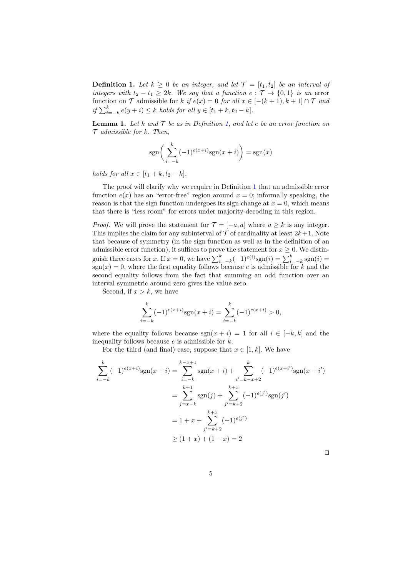**Definition 1.** Let  $k \geq 0$  be an integer, and let  $\mathcal{T} = [t_1, t_2]$  be an interval of integers with  $t_2 - t_1 \geq 2k$ . We say that a function  $e : \mathcal{T} \to \{0,1\}$  is an error function on  $\mathcal T$  admissible for k if  $e(x) = 0$  for all  $x \in [-(k+1), k+1] \cap \mathcal T$  and if  $\sum_{i=-k}^{k} e(y+i)$  ≤ k holds for all  $y \in [t_1+k, t_2-k]$ .

<span id="page-4-0"></span>**Lemma 1.** Let k and  $\mathcal T$  be as in Definition [1,](#page-3-0) and let e be an error function on  $\mathcal T$  admissible for k. Then,

$$
sgn\bigg(\sum_{i=-k}^{k}(-1)^{e(x+i)}sgn(x+i)\bigg) = sgn(x)
$$

holds for all  $x \in [t_1 + k, t_2 - k]$ .

The proof will clarify why we require in Definition [1](#page-3-0) that an admissible error function  $e(x)$  has an "error-free" region around  $x = 0$ ; informally speaking, the reason is that the sign function undergoes its sign change at  $x = 0$ , which means that there is "less room" for errors under majority-decoding in this region.

*Proof.* We will prove the statement for  $\mathcal{T} = [-a, a]$  where  $a \geq k$  is any integer. This implies the claim for any subinterval of  $\mathcal T$  of cardinality at least  $2k+1$ . Note that because of symmetry (in the sign function as well as in the definition of an admissible error function), it suffices to prove the statement for  $x \geq 0$ . We distinguish three cases for x. If  $x = 0$ , we have  $\sum_{i=-k}^{k} (-1)^{e(i)}$ sgn $(i) = \sum_{i=-k}^{k}$ sgn $(i) =$  $sgn(x) = 0$ , where the first equality follows because e is admissible for k and the second equality follows from the fact that summing an odd function over an interval symmetric around zero gives the value zero.

Second, if  $x > k$ , we have

$$
\sum_{i=-k}^{k} (-1)^{e(x+i)} sgn(x+i) = \sum_{i=-k}^{k} (-1)^{e(x+i)} > 0,
$$

where the equality follows because  $sgn(x + i) = 1$  for all  $i \in [-k, k]$  and the inequality follows because  $e$  is admissible for  $k$ .

For the third (and final) case, suppose that  $x \in [1, k]$ . We have

$$
\sum_{i=-k}^{k} (-1)^{e(x+i)} sgn(x+i) = \sum_{i=-k}^{k-x+1} sgn(x+i) + \sum_{i'=k-x+2}^{k} (-1)^{e(x+i')} sgn(x+i')
$$
  
= 
$$
\sum_{j=x-k}^{k+1} sgn(j) + \sum_{j'=k+2}^{k+x} (-1)^{e(j')} sgn(j')
$$
  
= 
$$
1 + x + \sum_{j'=k+2}^{k+x} (-1)^{e(j')}
$$
  

$$
\geq (1+x) + (1-x) = 2
$$

 $\Box$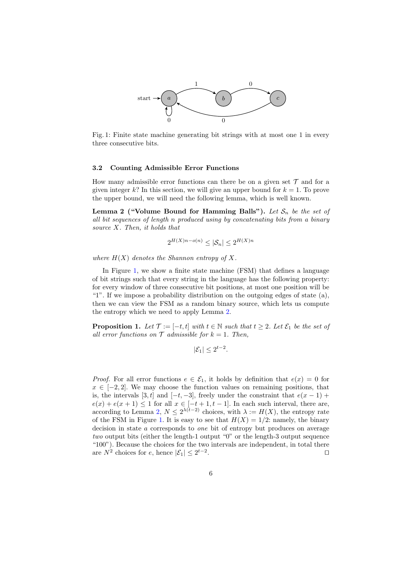<span id="page-5-0"></span>

Fig. 1: Finite state machine generating bit strings with at most one 1 in every three consecutive bits.

#### 3.2 Counting Admissible Error Functions

How many admissible error functions can there be on a given set  $\mathcal T$  and for a given integer k? In this section, we will give an upper bound for  $k = 1$ . To prove the upper bound, we will need the following lemma, which is well known.

Lemma 2 ("Volume Bound for Hamming Balls"). Let  $S_n$  be the set of all bit sequences of length n produced using by concatenating bits from a binary source X. Then, it holds that

<span id="page-5-1"></span>
$$
2^{H(X)n - o(n)} \leq |\mathcal{S}_n| \leq 2^{H(X)n}
$$

where  $H(X)$  denotes the Shannon entropy of X.

In Figure [1,](#page-5-0) we show a finite state machine (FSM) that defines a language of bit strings such that every string in the language has the following property: for every window of three consecutive bit positions, at most one position will be "1". If we impose a probability distribution on the outgoing edges of state  $(a)$ , then we can view the FSM as a random binary source, which lets us compute the entropy which we need to apply Lemma [2.](#page-5-1)

**Proposition 1.** Let  $\mathcal{T} := [-t, t]$  with  $t \in \mathbb{N}$  such that  $t > 2$ . Let  $\mathcal{E}_1$  be the set of all error functions on  $\mathcal T$  admissible for  $k = 1$ . Then,

$$
|\mathcal{E}_1| \le 2^{t-2}.
$$

*Proof.* For all error functions  $e \in \mathcal{E}_1$ , it holds by definition that  $e(x) = 0$  for  $x \in [-2, 2]$ . We may choose the function values on remaining positions, that is, the intervals [3, t] and  $[-t, -3]$ , freely under the constraint that  $e(x - 1)$  +  $e(x) + e(x+1) \leq 1$  for all  $x \in [-t+1, t-1]$ . In each such interval, there are, according to Lemma [2,](#page-5-1)  $N \leq 2^{\lambda(t-2)}$  choices, with  $\lambda := H(X)$ , the entropy rate of the FSM in Figure [1.](#page-5-0) It is easy to see that  $H(X) = 1/2$ : namely, the binary decision in state a corresponds to one bit of entropy but produces on average two output bits (either the length-1 output "0" or the length-3 output sequence "100"). Because the choices for the two intervals are independent, in total there are  $N^2$  choices for e, hence  $|\mathcal{E}_1| \leq 2^{t-2}$ . The contract of the contract of the contract of the contract of the contract of the contract of the contract of the contract of the contract of the contract of the contract of the contract of the contract of the contract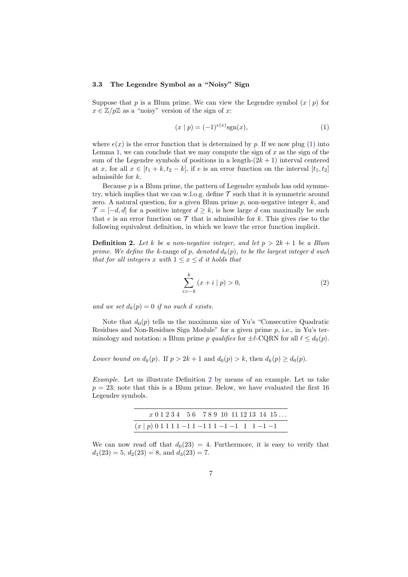#### 3.3 The Legendre Symbol as a "Noisy" Sign

Suppose that p is a Blum prime. We can view the Legendre symbol  $(x | p)$  for  $x \in \mathbb{Z}/p\mathbb{Z}$  as a "noisy" version of the sign of x:

<span id="page-6-0"></span>
$$
(x \mid p) = (-1)^{e(x)} \text{sgn}(x), \tag{1}
$$

where  $e(x)$  is the error function that is determined by p. If we now plug [\(1\)](#page-6-0) into Lemma [1,](#page-4-0) we can conclude that we may compute the sign of  $x$  as the sign of the sum of the Legendre symbols of positions in a length- $(2k + 1)$  interval centered at x, for all  $x \in [t_1 + k, t_2 - k]$ , if e is an error function on the interval  $[t_1, t_2]$ admissible for k.

Because  $p$  is a Blum prime, the pattern of Legendre symbols has odd symmetry, which implies that we can w.l.o.g. define  $\mathcal T$  such that it is symmetric around zero. A natural question, for a given Blum prime  $p$ , non-negative integer  $k$ , and  $\mathcal{T} = [-d, d]$  for a positive integer  $d \geq k$ , is how large d can maximally be such that e is an error function on  $\mathcal T$  that is admissible for k. This gives rise to the following equivalent definition, in which we leave the error function implicit.

**Definition 2.** Let k be a non-negative integer, and let  $p > 2k + 1$  be a Blum prime. We define the k-range of p, denoted  $d_k(p)$ , to be the largest integer d such that for all integers x with  $1 \leq x \leq d$  it holds that

<span id="page-6-1"></span>
$$
\sum_{i=-k}^{k} (x+i | p) > 0,
$$
\n(2)

and we set  $d_k(p) = 0$  if no such d exists.

Note that  $d_0(p)$  tells us the maximum size of Yu's "Consecutive Quadratic Residues and Non-Residues Sign Module" for a given prime  $p$ , i.e., in Yu's terminology and notation: a Blum prime p qualifies for  $\pm \ell$ -CQRN for all  $\ell \leq d_0(p)$ .

Lower bound on  $d_k(p)$ . If  $p > 2k + 1$  and  $d_0(p) > k$ , then  $d_k(p) \geq d_0(p)$ .

Example. Let us illustrate Definition [2](#page-6-1) by means of an example. Let us take  $p = 23$ ; note that this is a Blum prime. Below, we have evaluated the first 16 Legendre symbols.

|                                                 |  | $x 0 1 2 3 4 5 6 7 8 9 10 11 12 13 14 15$ |  |  |  |  |
|-------------------------------------------------|--|-------------------------------------------|--|--|--|--|
| $(x   p) 0 1 1 1 1 -1 1 -1 1 1 -1 -1 1 1 -1 -1$ |  |                                           |  |  |  |  |

We can now read off that  $d_0(23) = 4$ . Furthermore, it is easy to verify that  $d_1(23) = 5, d_2(23) = 8, \text{ and } d_3(23) = 7.$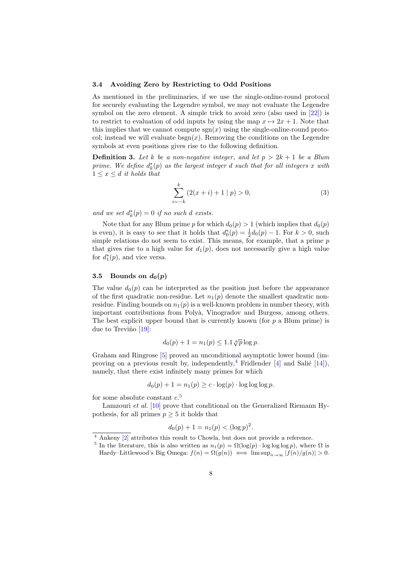#### <span id="page-7-3"></span>3.4 Avoiding Zero by Restricting to Odd Positions

As mentioned in the preliminaries, if we use the single-online-round protocol for securely evaluating the Legendre symbol, we may not evaluate the Legendre symbol on the zero element. A simple trick to avoid zero (also used in [\[22\]](#page-22-1)) is to restrict to evaluation of odd inputs by using the map  $x \mapsto 2x + 1$ . Note that this implies that we cannot compute  $sgn(x)$  using the single-online-round protocol; instead we will evaluate  $bsgn(x)$ . Removing the conditions on the Legendre symbols at even positions gives rise to the following definition.

**Definition 3.** Let k be a non-negative integer, and let  $p > 2k + 1$  be a Blum prime. We define  $d_k^*(p)$  as the largest integer d such that for all integers x with  $1 \leq x \leq d$  it holds that

$$
\sum_{i=-k}^{k} (2(x+i)+1 \mid p) > 0,
$$
\n(3)

and we set  $d_k^*(p) = 0$  if no such d exists.

Note that for any Blum prime p for which  $d_0(p) > 1$  (which implies that  $d_0(p)$ ) is even), it is easy to see that it holds that  $d_0^*(p) = \frac{1}{2}d_0(p) - 1$ . For  $k > 0$ , such simple relations do not seem to exist. This means, for example, that a prime  $p$ that gives rise to a high value for  $d_1(p)$ , does not necessarily give a high value for  $d_1^*(p)$ , and vice versa.

#### <span id="page-7-0"></span>3.5 Bounds on  $d_0(p)$

The value  $d_0(p)$  can be interpreted as the position just before the appearance of the first quadratic non-residue. Let  $n_1(p)$  denote the smallest quadratic nonresidue. Finding bounds on  $n_1(p)$  is a well-known problem in number theory, with important contributions from Poly`a, Vinogradov and Burgess, among others. The best explicit upper bound that is currently known (for  $p$  a Blum prime) is due to Treviño  $[19]$ :

$$
d_0(p) + 1 = n_1(p) \le 1.1 \sqrt[4]{p} \log p.
$$

Graham and Ringrose [\[5\]](#page-21-2) proved an unconditional asymptotic lower bound (im-proving on a previous result by, independently, <sup>[4](#page-7-1)</sup> Fridlender  $[4]$  and Salié  $[14]$ ), namely, that there exist infinitely many primes for which

$$
d_0(p) + 1 = n_1(p) \ge c \cdot \log(p) \cdot \log \log \log p.
$$

for some absolute constant  $c$ <sup>[5](#page-7-2)</sup>

Lamzouri et al. [\[10\]](#page-22-4) prove that conditional on the Generalized Riemann Hypothesis, for all primes  $p \geq 5$  it holds that

$$
d_0(p) + 1 = n_1(p) < (\log p)^2.
$$

<span id="page-7-1"></span> $\sqrt{4 + 4 + 4}$  Ankeny [\[2\]](#page-21-4) attributes this result to Chowla, but does not provide a reference.

<span id="page-7-2"></span><sup>&</sup>lt;sup>5</sup> In the literature, this is also written as  $n_1(p) = \Omega(\log(p) \cdot \log \log \log p)$ , where  $\Omega$  is

Hardy–Littlewood's Big Omega:  $f(n) = \Omega(g(n)) \iff \limsup_{n \to \infty} |f(n)/g(n)| > 0.$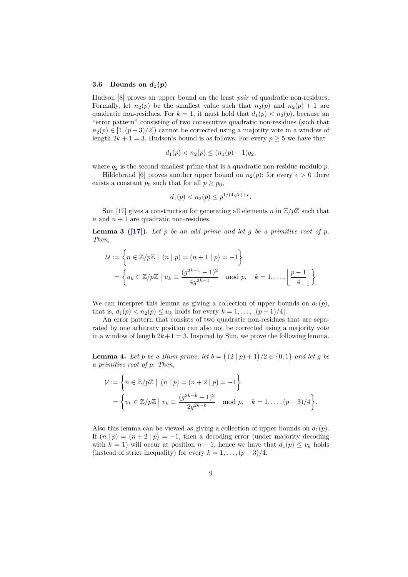#### 3.6 Bounds on  $d_1(p)$

Hudson [\[8\]](#page-22-5) proves an upper bound on the least pair of quadratic non-residues. Formally, let  $n_2(p)$  be the smallest value such that  $n_2(p)$  and  $n_2(p) + 1$  are quadratic non-residues. For  $k = 1$ , it must hold that  $d_1(p) < n_2(p)$ , because an "error pattern" consisting of two consecutive quadratic non-residues (such that  $n_2(p) \in [1,(p-3)/2]$  cannot be corrected using a majority vote in a window of length  $2k + 1 = 3$ . Hudson's bound is as follows. For every  $p \ge 5$  we have that

$$
d_1(p) < n_2(p) \le (n_1(p) - 1)q_2,
$$

where  $q_2$  is the second smallest prime that is a quadratic non-residue modulo p.

Hildebrand [\[6\]](#page-21-5) proves another upper bound on  $n_2(p)$ : for every  $\epsilon > 0$  there exists a constant  $p_0$  such that for all  $p \geq p_0$ ,

<span id="page-8-0"></span>
$$
d_1(p) < n_2(p) \le p^{1/(4\sqrt{e}) + \epsilon}.
$$

Sun [\[17\]](#page-22-6) gives a construction for generating all elements n in  $\mathbb{Z}/p\mathbb{Z}$  such that  $n$  and  $n + 1$  are quadratic non-residues.

**Lemma 3** ( $[17]$ ). Let p be an odd prime and let g be a primitive root of p. Then,

$$
\mathcal{U} := \left\{ n \in \mathbb{Z}/p\mathbb{Z} \mid (n \mid p) = (n+1 \mid p) = -1 \right\}
$$

$$
= \left\{ u_k \in \mathbb{Z}/p\mathbb{Z} \mid u_k \equiv \frac{(g^{2k-1} - 1)^2}{4g^{2k-1}} \mod p, \quad k = 1, \dots, \left\lfloor \frac{p-1}{4} \right\rfloor \right\}
$$

We can interpret this lemma as giving a collection of upper bounds on  $d_1(p)$ , that is,  $d_1(p) < n_2(p) \le u_k$  holds for every  $k = 1, ..., \lfloor (p-1)/4 \rfloor$ .

An error pattern that consists of two quadratic non-residues that are separated by one arbitrary position can also not be corrected using a majority vote in a window of length  $2k+1=3$ . Inspired by Sun, we prove the following lemma.

**Lemma 4.** Let p be a Blum prime, let  $b = (2 \mid p) + 1)/2 \in \{0, 1\}$  and let g be a primitive root of p. Then,

$$
\mathcal{V} := \left\{ n \in \mathbb{Z}/p\mathbb{Z} \mid (n \mid p) = (n+2 \mid p) = -1 \right\}
$$
  
= 
$$
\left\{ v_k \in \mathbb{Z}/p\mathbb{Z} \mid v_k \equiv \frac{(g^{2k-b}-1)^2}{2g^{2k-b}} \mod p, \quad k = 1, ..., (p-3)/4 \right\}.
$$

Also this lemma can be viewed as giving a collection of upper bounds on  $d_1(p)$ . If  $(n | p) = (n + 2 | p) = -1$ , then a decoding error (under majority decoding with  $k = 1$ ) will occur at position  $n + 1$ , hence we have that  $d_1(p) \leq v_k$  holds (instead of strict inequality) for every  $k = 1, ..., (p-3)/4$ .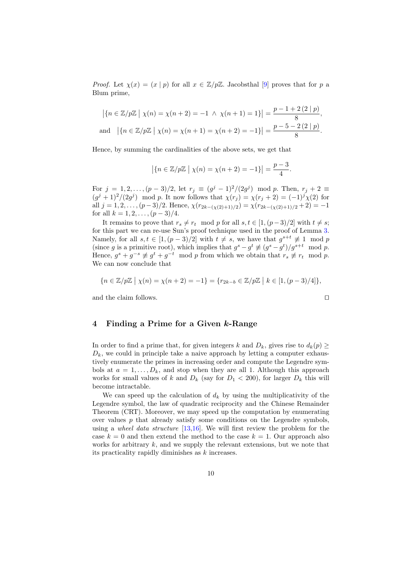*Proof.* Let  $\chi(x) = (x \mid p)$  for all  $x \in \mathbb{Z}/p\mathbb{Z}$ . Jacobsthal [\[9\]](#page-22-7) proves that for p a Blum prime,

$$
\left| \{ n \in \mathbb{Z}/p\mathbb{Z} \mid \chi(n) = \chi(n+2) = -1 \, \land \, \chi(n+1) = 1 \} \right| = \frac{p-1+2(2 \mid p)}{8},
$$
  
and 
$$
\left| \{ n \in \mathbb{Z}/p\mathbb{Z} \mid \chi(n) = \chi(n+1) = \chi(n+2) = -1 \} \right| = \frac{p-5-2(2 \mid p)}{8}.
$$

Hence, by summing the cardinalities of the above sets, we get that

$$
|\{n \in \mathbb{Z}/p\mathbb{Z} \mid \chi(n) = \chi(n+2) = -1\}| = \frac{p-3}{4}.
$$

For  $j = 1, 2, ..., (p-3)/2$ , let  $r_j \equiv (g^j - 1)^2/(2g^j) \mod p$ . Then,  $r_j + 2 \equiv$  $(g^{j} + 1)^{2}/(2g^{j})$  mod p. It now follows that  $\chi(r_{j}) = \chi(r_{j} + 2) = (-1)^{j} \chi(2)$  for all  $j = 1, 2, \ldots, (p-3)/2$ . Hence,  $\chi(r_{2k-(\chi(2)+1)/2}) = \chi(r_{2k-(\chi(2)+1)/2} + 2) = -1$ for all  $k = 1, 2, \ldots, (p-3)/4$ .

It remains to prove that  $r_s \neq r_t \mod p$  for all  $s, t \in [1,(p-3)/2]$  with  $t \neq s$ ; for this part we can re-use Sun's proof technique used in the proof of Lemma [3.](#page-8-0) Namely, for all  $s, t \in [1, (p-3)/2]$  with  $t \neq s$ , we have that  $g^{s+t} \not\equiv 1 \mod p$ (since g is a primitive root), which implies that  $g^s - g^t \not\equiv (g^s - g^t)/g^{s+t} \mod p$ . Hence,  $g^s + g^{-s} \not\equiv g^t + g^{-t} \mod p$  from which we obtain that  $r_s \not\equiv r_t \mod p$ . We can now conclude that

$$
\{n \in \mathbb{Z}/p\mathbb{Z} \mid \chi(n) = \chi(n+2) = -1\} = \{r_{2k-b} \in \mathbb{Z}/p\mathbb{Z} \mid k \in [1, (p-3)/4]\},\
$$

and the claim follows.  $\Box$ 

## <span id="page-9-0"></span>4 Finding a Prime for a Given k-Range

In order to find a prime that, for given integers k and  $D_k$ , gives rise to  $d_k(p) \geq$  $D_k$ , we could in principle take a naive approach by letting a computer exhaustively enumerate the primes in increasing order and compute the Legendre symbols at  $a = 1, \ldots, D_k$ , and stop when they are all 1. Although this approach works for small values of k and  $D_k$  (say for  $D_1 < 200$ ), for larger  $D_k$  this will become intractable.

We can speed up the calculation of  $d_k$  by using the multiplicativity of the Legendre symbol, the law of quadratic reciprocity and the Chinese Remainder Theorem (CRT). Moreover, we may speed up the computation by enumerating over values  $p$  that already satisfy some conditions on the Legendre symbols, using a *wheel data structure* [\[13,](#page-22-8)[16\]](#page-22-9). We will first review the problem for the case  $k = 0$  and then extend the method to the case  $k = 1$ . Our approach also works for arbitrary  $k$ , and we supply the relevant extensions, but we note that its practicality rapidly diminishes as  $k$  increases.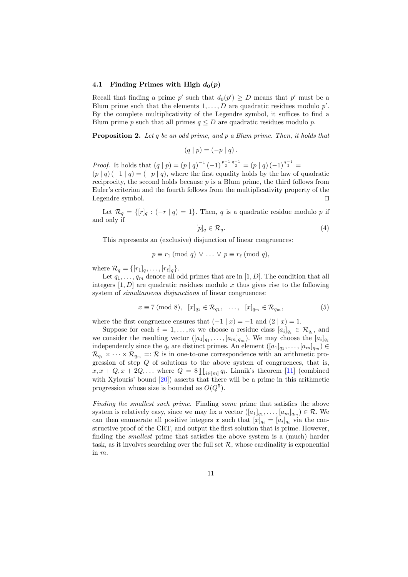#### 4.1 Finding Primes with High  $d_0(p)$

Recall that finding a prime p' such that  $d_0(p') \geq D$  means that p' must be a Blum prime such that the elements  $1, \ldots, D$  are quadratic residues modulo  $p'$ . By the complete multiplicativity of the Legendre symbol, it suffices to find a Blum prime p such that all primes  $q \leq D$  are quadratic residues modulo p.

**Proposition 2.** Let q be an odd prime, and p a Blum prime. Then, it holds that

$$
(q | p) = (-p | q).
$$

*Proof.* It holds that  $(q | p) = (p | q)^{-1} (-1)^{\frac{p-1}{2} \frac{q-1}{2}} = (p | q) (-1)^{\frac{q-1}{2}} =$  $(p | q) (-1 | q) = (-p | q)$ , where the first equality holds by the law of quadratic reciprocity, the second holds because  $p$  is a Blum prime, the third follows from Euler's criterion and the fourth follows from the multiplicativity property of the Legendre symbol.  $\square$ 

Let  $\mathcal{R}_q = \{ [r]_q : (-r \mid q) = 1 \}$ . Then, q is a quadratic residue modulo p if and only if

$$
[p]_q \in \mathcal{R}_q. \tag{4}
$$

This represents an (exclusive) disjunction of linear congruences:

$$
p \equiv r_1 \pmod{q} \vee \ldots \vee p \equiv r_\ell \pmod{q},
$$

where  $\mathcal{R}_q = \{ [r_1]_q, \ldots, [r_\ell]_q \}.$ 

Let  $q_1, \ldots, q_m$  denote all odd primes that are in [1, D]. The condition that all integers  $[1, D]$  are quadratic residues modulo x thus gives rise to the following system of *simultaneous disjunctions* of linear congruences:

<span id="page-10-0"></span>
$$
x \equiv 7 \pmod{8}, \ [x]_{q_1} \in \mathcal{R}_{q_1}, \ \ldots, \ [x]_{q_m} \in \mathcal{R}_{q_m}, \tag{5}
$$

where the first congruence ensures that  $(-1 | x) = -1$  and  $(2 | x) = 1$ .

Suppose for each  $i = 1, ..., m$  we choose a residue class  $[a_i]_{q_i} \in \mathcal{R}_{q_i}$ , and we consider the resulting vector  $([a_1]_{q_1}, \ldots, [a_m]_{q_m})$ . We may choose the  $[a_i]_{q_i}$ independently since the  $q_i$  are distinct primes. An element  $([a_1]_{q_1}, \ldots, [a_m]_{q_m}) \in$  $\mathcal{R}_{q_1} \times \cdots \times \mathcal{R}_{q_m} =: \mathcal{R}$  is in one-to-one correspondence with an arithmetic progression of step Q of solutions to the above system of congruences, that is,  $x, x + Q, x + 2Q, \ldots$  where  $Q = 8 \prod_{i \in [m]} q_i$ . Linnik's theorem [\[11\]](#page-22-10) (combined with Xylouris' bound [\[20\]](#page-22-11)) asserts that there will be a prime in this arithmetic progression whose size is bounded as  $O(Q^5)$ .

Finding the smallest such prime. Finding some prime that satisfies the above system is relatively easy, since we may fix a vector  $([a_1]_{q_1}, \ldots, [a_m]_{q_m}) \in \mathcal{R}$ . We can then enumerate all positive integers x such that  $[x]_{q_i} = [a_i]_{q_i}$  via the constructive proof of the CRT, and output the first solution that is prime. However, finding the smallest prime that satisfies the above system is a (much) harder task, as it involves searching over the full set  $R$ , whose cardinality is exponential in m.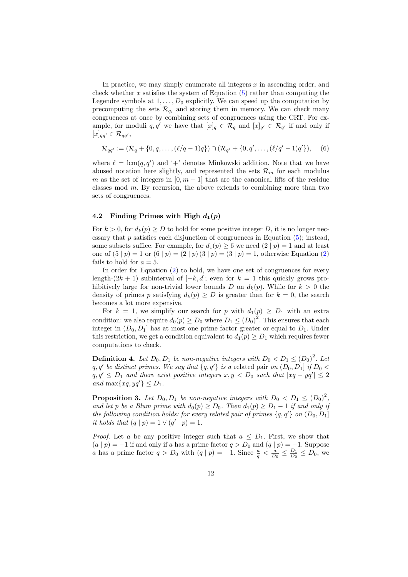In practice, we may simply enumerate all integers  $x$  in ascending order, and check whether  $x$  satisfies the system of Equation  $(5)$  rather than computing the Legendre symbols at  $1, \ldots, D_0$  explicitly. We can speed up the computation by precomputing the sets  $\mathcal{R}_{q_i}$  and storing them in memory. We can check many congruences at once by combining sets of congruences using the CRT. For example, for moduli q, q' we have that  $[x]_q \in \mathcal{R}_q$  and  $[x]_{q'} \in \mathcal{R}_{q'}$  if and only if  $[x]_{qq'} \in \mathcal{R}_{qq'}$ 

<span id="page-11-1"></span>
$$
\mathcal{R}_{qq'} := (\mathcal{R}_q + \{0, q, \dots, (\ell/q - 1)q\}) \cap (\mathcal{R}_{q'} + \{0, q', \dots, (\ell/q' - 1)q'\}), \quad (6)
$$

where  $\ell = \text{lcm}(q, q')$  and '+' denotes Minkowski addition. Note that we have abused notation here slightly, and represented the sets  $\mathcal{R}_m$  for each modulus m as the set of integers in  $[0, m-1]$  that are the canonical lifts of the residue classes mod  $m$ . By recursion, the above extends to combining more than two sets of congruences.

#### 4.2 Finding Primes with High  $d_1(p)$

For  $k > 0$ , for  $d_k(p) \geq D$  to hold for some positive integer D, it is no longer necessary that  $p$  satisfies each disjunction of congruences in Equation  $(5)$ ; instead, some subsets suffice. For example, for  $d_1(p) \geq 6$  we need  $(2 | p) = 1$  and at least one of  $(5 | p) = 1$  or  $(6 | p) = (2 | p) (3 | p) = (3 | p) = 1$ , otherwise Equation [\(2\)](#page-6-1) fails to hold for  $a = 5$ .

In order for Equation [\(2\)](#page-6-1) to hold, we have one set of congruences for every length- $(2k + 1)$  subinterval of  $[-k, d]$ ; even for  $k = 1$  this quickly grows prohibitively large for non-trivial lower bounds D on  $d_k(p)$ . While for  $k > 0$  the density of primes p satisfying  $d_k(p) \geq D$  is greater than for  $k = 0$ , the search becomes a lot more expensive.

For  $k = 1$ , we simplify our search for p with  $d_1(p) \ge D_1$  with an extra condition: we also require  $d_0(p) \ge D_0$  where  $D_1 \le (D_0)^2$ . This ensures that each integer in  $(D_0, D_1]$  has at most one prime factor greater or equal to  $D_1$ . Under this restriction, we get a condition equivalent to  $d_1(p) \ge D_1$  which requires fewer computations to check.

**Definition 4.** Let  $D_0, D_1$  be non-negative integers with  $D_0 < D_1 \leq (D_0)^2$ . Let  $q, q'$  be distinct primes. We say that  $\{q, q'\}$  is a related pair on  $(D_0, D_1]$  if  $D_0$  $q, q' \leq D_1$  and there exist positive integers  $x, y < D_0$  such that  $|xq - yq'| \leq 2$ and max $\{xq, yq'\} \leq D_1$ .

<span id="page-11-0"></span>**Proposition 3.** Let  $D_0, D_1$  be non-negative integers with  $D_0 < D_1 \leq (D_0)^2$ , and let p be a Blum prime with  $d_0(p) \ge D_0$ . Then  $d_1(p) \ge D_1 - 1$  if and only if the following condition holds: for every related pair of primes  $\{q, q'\}$  on  $(D_0, D_1]$ it holds that  $(q | p) = 1 \vee (q' | p) = 1$ .

*Proof.* Let a be any positive integer such that  $a \leq D_1$ . First, we show that  $(a | p) = -1$  if and only if a has a prime factor  $q > D_0$  and  $(q | p) = -1$ . Suppose a has a prime factor  $q > D_0$  with  $(q | p) = -1$ . Since  $\frac{a}{q} < \frac{a}{D_0} \leq \frac{D_1}{D_0} \leq D_0$ , we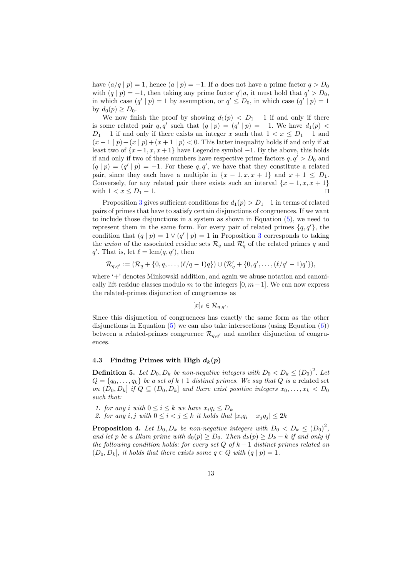have  $(a/q | p) = 1$ , hence  $(a | p) = -1$ . If a does not have a prime factor  $q > D_0$ with  $(q | p) = -1$ , then taking any prime factor  $q' | a$ , it must hold that  $q' > D_0$ , in which case  $(q' | p) = 1$  by assumption, or  $q' \leq D_0$ , in which case  $(q' | p) = 1$ by  $d_0(p) \geq D_0$ .

We now finish the proof by showing  $d_1(p) < D_1 - 1$  if and only if there is some related pair  $q, q'$  such that  $(q | p) = (q' | p) = -1$ . We have  $d_1(p)$  <  $D_1 - 1$  if and only if there exists an integer x such that  $1 < x \le D_1 - 1$  and  $(x-1|p)+(x|p)+(x+1|p) < 0$ . This latter inequality holds if and only if at least two of  $\{x-1, x, x+1\}$  have Legendre symbol  $-1$ . By the above, this holds if and only if two of these numbers have respective prime factors  $q, q' > D_0$  and  $(q | p) = (q' | p) = -1$ . For these q, q', we have that they constitute a related pair, since they each have a multiple in  $\{x-1, x, x+1\}$  and  $x+1 \leq D_1$ . Conversely, for any related pair there exists such an interval  $\{x-1, x, x+1\}$ with  $1 < x \le D_1 - 1$ .

Proposition [3](#page-11-0) gives sufficient conditions for  $d_1(p) > D_1-1$  in terms of related pairs of primes that have to satisfy certain disjunctions of congruences. If we want to include those disjunctions in a system as shown in Equation [\(5\)](#page-10-0), we need to represent them in the same form. For every pair of related primes  $\{q, q'\}$ , the condition that  $(q | p) = 1 \vee (q' | p) = 1$  in Proposition [3](#page-11-0) corresponds to taking the union of the associated residue sets  $\mathcal{R}_q$  and  $\mathcal{R}'_q$  of the related primes q and  $q'$ . That is, let  $\ell = \text{lcm}(q, q')$ , then

$$
\mathcal{R}_{q,q'} := (\mathcal{R}_q + \{0, q, \ldots, (\ell/q-1)q\}) \cup (\mathcal{R}'_q + \{0, q', \ldots, (\ell/q'-1)q'\}),
$$

where '+' denotes Minkowski addition, and again we abuse notation and canonically lift residue classes modulo m to the integers  $[0, m-1]$ . We can now express the related-primes disjunction of congruences as

$$
[x]_{\ell} \in \mathcal{R}_{q,q'}.
$$

Since this disjunction of congruences has exactly the same form as the other disjunctions in Equation  $(5)$  we can also take intersections (using Equation  $(6)$ ) between a related-primes congruence  $\mathcal{R}_{q,q'}$  and another disjunction of congruences.

## <span id="page-12-1"></span>4.3 Finding Primes with High  $d_k(p)$

**Definition 5.** Let  $D_0, D_k$  be non-negative integers with  $D_0 < D_k \leq (D_0)^2$ . Let  $Q = \{q_0, \ldots, q_k\}$  be a set of  $k+1$  distinct primes. We say that Q is a related set on  $(D_0, D_k]$  if  $Q \subseteq (D_0, D_k]$  and there exist positive integers  $x_0, \ldots, x_k \lt D_0$ such that:

- 1. for any i with  $0 \leq i \leq k$  we have  $x_i q_i \leq D_k$
- 2. for any i, j with  $0 \leq i < j \leq k$  it holds that  $|x_i q_i x_j q_j| \leq 2k$

<span id="page-12-0"></span>**Proposition 4.** Let  $D_0, D_k$  be non-negative integers with  $D_0 < D_k \leq (D_0)^2$ , and let p be a Blum prime with  $d_0(p) \ge D_0$ . Then  $d_k(p) \ge D_k - k$  if and only if the following condition holds: for every set  $Q$  of  $k+1$  distinct primes related on  $(D_0, D_k]$ , it holds that there exists some  $q \in Q$  with  $(q | p) = 1$ .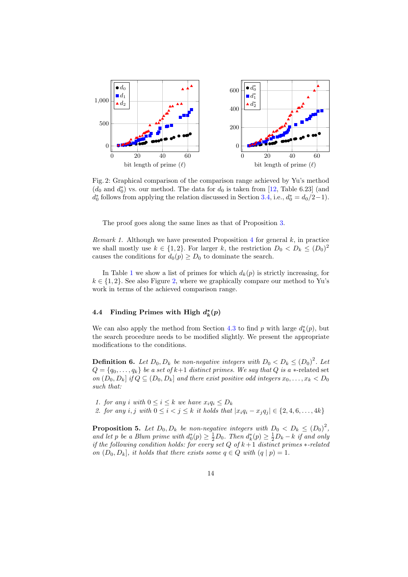<span id="page-13-0"></span>

Fig. 2: Graphical comparison of the comparison range achieved by Yu's method  $(d_0 \text{ and } d_0^*)$  vs. our method. The data for  $d_0$  is taken from [\[12,](#page-22-12) Table 6.23] (and  $d_0^*$  follows from applying the relation discussed in Section [3.4,](#page-7-3) i.e.,  $d_0^* = d_0/2 - 1$ .

The proof goes along the same lines as that of Proposition [3.](#page-11-0)

*Remark 1.* Although we have presented Proposition [4](#page-12-0) for general  $k$ , in practice we shall mostly use  $k \in \{1, 2\}$ . For larger k, the restriction  $D_0 < D_k \leq (D_0)^2$ causes the conditions for  $d_0(p) \ge D_0$  to dominate the search.

In Table [1](#page-14-0) we show a list of primes for which  $d_k(p)$  is strictly increasing, for  $k \in \{1, 2\}$ . See also Figure [2,](#page-13-0) where we graphically compare our method to Yu's work in terms of the achieved comparison range.

## 4.4 Finding Primes with High  $d_k^*(p)$

We can also apply the method from Section [4.3](#page-12-1) to find p with large  $d_k^*(p)$ , but the search procedure needs to be modified slightly. We present the appropriate modifications to the conditions.

**Definition 6.** Let  $D_0, D_k$  be non-negative integers with  $D_0 < D_k \leq (D_0)^2$ . Let  $Q = \{q_0, \ldots, q_k\}$  be a set of  $k+1$  distinct primes. We say that Q is a  $*$ -related set on  $(D_0, D_k]$  if  $Q \subseteq (D_0, D_k]$  and there exist positive odd integers  $x_0, \ldots, x_k \le D_0$ such that:

1. for any i with  $0 \leq i \leq k$  we have  $x_i q_i \leq D_k$ 2. for any i, j with  $0 \le i < j \le k$  it holds that  $|x_i q_i - x_j q_j| \in \{2, 4, 6, ..., 4k\}$ 

**Proposition 5.** Let  $D_0, D_k$  be non-negative integers with  $D_0 < D_k \leq (D_0)^2$ , and let p be a Blum prime with  $d_0^*(p) \geq \frac{1}{2}D_0$ . Then  $d_k^*(p) \geq \frac{1}{2}D_k - k$  if and only if the following condition holds: for every set  $Q$  of  $k+1$  distinct primes  $*$ -related on  $(D_0, D_k]$ , it holds that there exists some  $q \in Q$  with  $(q | p) = 1$ .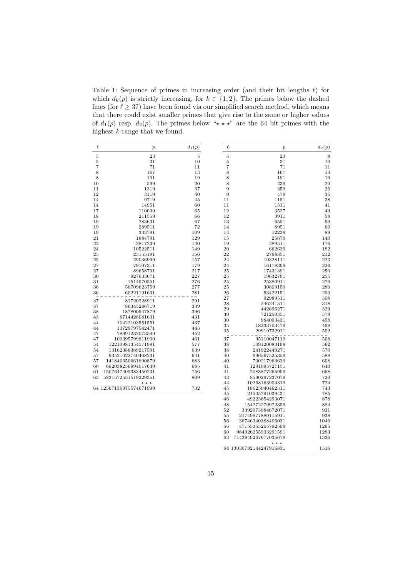<span id="page-14-0"></span>Table 1: Sequence of primes in increasing order (and their bit lengths  $\ell$ ) for which  $d_k(p)$  is strictly increasing, for  $k \in \{1, 2\}$ . The primes below the dashed lines (for  $\ell \geq 37$ ) have been found via our simplified search method, which means that there could exist smaller primes that give rise to the same or higher values of  $d_1(p)$  resp.  $d_2(p)$ . The primes below " $\star \star \star$ " are the 64 bit primes with the highest k-range that we found.

| $\ell$   | $\boldsymbol{p}$                             | $d_1(p)$       | $\ell$ | $\boldsymbol{p}$             | $d_2(p)$   |
|----------|----------------------------------------------|----------------|--------|------------------------------|------------|
| 5        | 23                                           | $\overline{5}$ | 5      | 23                           | 8          |
| 5        | 31                                           | 10             | 5      | 31                           | 10         |
| 7        | 71                                           | 11             | 7      | 71                           | 11         |
| 8        | 167                                          | 13             | 8      | 167                          | 14         |
| 8        | 191                                          | 19             | 8      | 191                          | 19         |
| 10       | 599                                          | 20             | 8      | 239                          | 20         |
| 11       | 1319                                         | 37             | 9      | 359                          | 26         |
| 12       | 3119                                         | 40             | 9      | 479                          | 35         |
| 14       | 9719                                         | 45             | 11     | 1151                         | 38         |
| 14       | 14951                                        | 60             | 11     | 1511                         | 41         |
| 17       | 110039                                       | 65             | 12     | 3527                         | 43         |
| 18       | 211559                                       | 66             | 12     | 3911                         | 58         |
| 19       | 283631                                       | 67             | 13     | 6551                         | 59         |
| 19       | 289511                                       | 72             | 14     | 8951                         | 66         |
| 19       | 333791                                       | 109            | 14     | 12239                        | 89         |
| 21       | 1884791                                      | 129            | 15     | 25679                        | 140        |
| 22       | 2817239                                      | 140            | 19     | 289511                       | 176        |
| 24       | 10522511                                     | 149            | 20     | 662639                       | 182        |
| 25       | 25155191                                     | 156            | 22     | 2798351                      | 212        |
| 25       | 29036999                                     | 157            | 24     | 10328111                     | 223        |
| 27       | 79107311                                     | 179            | 24     | 16178399                     | 226        |
| 27       | 89658791                                     | 217            | 25     | 17431391                     | 250        |
| 30       | 927633671                                    | 227            | 25     | 19632791                     | 255        |
| 31       | 1514970551                                   | 276            | 25     | 25380911                     | 276        |
| 36       | 56709623759                                  | 277            | 25     | 30809159                     | 280        |
| 36       | 60221191631                                  | 281            | 26     | 53422151                     | 290        |
|          |                                              |                | 27     | 92989511                     | 308        |
| 37       | 81720228911                                  | 291            | 28     | 246241511                    | 318        |
| 37       | 86345286719                                  | 339            | 29     | 442696271                    | 329        |
| 38       | 187800947879                                 | 396            | 30     | 721250351                    | 379        |
| 43       | 8714428081631                                | 431            | 30     | 984093431                    | 458        |
| 44       | 10422103551551                               | 437            | 35     | 18233703479                  | 498        |
| 44       | 13729797542471                               | 443            | 35     | 29919732911                  | 502        |
| 47<br>47 | 78991232073599<br>100395799811999            | 452<br>461     | 37     |                              | 508        |
|          | 12210981354571991                            | 577            | 38     | 95110047119                  |            |
| 54<br>54 | 13162388389217591                            | 639            | 38     | 149120083199<br>241922449271 | 562<br>570 |
| 57       | 93521022740468231                            | 641            | 40     | 696567525359                 | 588        |
| 57       | 141840650661890879                           | 683            | 40     | 700217963639                 | 608        |
| 60       | 692038256994017639                           | 685            | 41     | 1291095727151                | 640        |
| 61       | 1507647405383450231                          | 756            | 41     | 2088877265999                | 668        |
| 63       | 5831572531519229351                          | 809            | 43     | 8590297237079                | 720        |
|          |                                              |                | 44     | 10268163904319               | 724        |
|          | $\star\star\star$<br>64 12367130975574671999 | 732            | 45     | 18623040462311               | 743        |
|          |                                              |                | 45     | 21505791039431               | 785        |
|          |                                              |                | 46     | 49223854293071               | 878        |
|          |                                              |                | 48     | 154272279972359              | 884        |
|          |                                              |                | 52     | 3392073984672071             | 931        |
|          |                                              |                | 55     | 21749977880115911            | 938        |
|          |                                              |                | 56     | 38746340388406031            | 1046       |
|          |                                              |                | 56     | 47155355205792599            | 1265       |
|          |                                              |                | 60     | 984926255933291591           | 1283       |
|          |                                              |                | 63     | 7143849267677035679          | 1336       |
|          |                                              |                |        |                              |            |

 $***$ 64 13030782144247916831 1316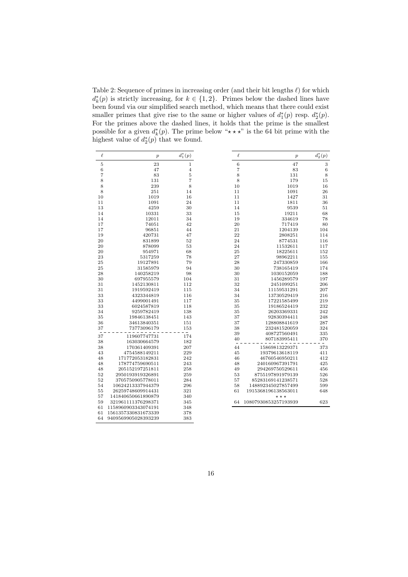<span id="page-15-0"></span>Table 2: Sequence of primes in increasing order (and their bit lengths  $\ell$ ) for which  $d_k^*(p)$  is strictly increasing, for  $k \in \{1, 2\}$ . Primes below the dashed lines have been found via our simplified search method, which means that there could exist smaller primes that give rise to the same or higher values of  $d_1^*(p)$  resp.  $d_2^*(p)$ . For the primes above the dashed lines, it holds that the prime is the smallest possible for a given  $d_k^*(p)$ . The prime below " $\star \star \star$ " is the 64 bit prime with the highest value of  $d_2^*(p)$  that we found.

| $\ell$ | $\boldsymbol{p}$    | $d_1^*(p)$     |  |
|--------|---------------------|----------------|--|
| 5      | 23                  | 1              |  |
| 6      | 47                  | $\overline{4}$ |  |
| 7      | 83                  | 5              |  |
| 8      | 131                 | 7              |  |
| 8      | 239                 | 8              |  |
| 8      | 251                 | 14             |  |
| 10     | 1019                | 16             |  |
| 11     | 1091                | 24             |  |
| 13     | 4259                | 30             |  |
| 14     | 10331               | 33             |  |
| 14     | 12011               | 34             |  |
| 17     | 74051               | 42             |  |
| 17     | 96851               | 44             |  |
| 19     | 420731              | 47             |  |
| 20     | 831899              | 52             |  |
| 20     | 878099              | 53             |  |
| 20     | 954971              | 68             |  |
| 23     | 5317259             | 78             |  |
| 25     | 19127891            | 79             |  |
| 25     | 31585979            | 94             |  |
| 28     | 140258219           | 98             |  |
| 30     | 697955579           | 104            |  |
| 31     | 1452130811          | 112            |  |
| 31     | 1919592419          | 115            |  |
| 33     | 4323344819          | 116            |  |
| 33     | 4499001491          | 117            |  |
| 33     | 6024587819          | 118            |  |
| 34     | 9259782419          | 138            |  |
| 35     | 19846138451         | 143            |  |
| 36     | 34613840351         | 151            |  |
| 37     | 73773096179         | 153            |  |
| 37     | 119607747731        | 174            |  |
| 38     | 163030664579        | 182            |  |
| 38     | 170361409391        | 207            |  |
| 43     | 4754588149211       | 229            |  |
| 48     | 171772053182831     | 242            |  |
| 48     | 178774759690511     | 243            |  |
| 48     | 205152197251811     | 258            |  |
| 52     | 2950193919326891    | 259            |  |
| 52     | 3705750905778011    | 284            |  |
| 54     | 10624213337944379   | 296            |  |
| 55     | 26259748609914431   | 321            |  |
| 57     | 141840650661890879  | 340            |  |
| 59     | 321961111376298371  | 345            |  |
| 61     | 1158960903343074191 | 348            |  |
| 61     | 1561357330831673339 | 378            |  |
| 64     | 9409569905028393239 | 383            |  |

| $\ell$ | $\boldsymbol{p}$                            | $d_{2}^{*}(p)$ |
|--------|---------------------------------------------|----------------|
| 6      | 47                                          | 3              |
| 7      | 83                                          | 6              |
| 8      | 131                                         | 8              |
| 8      | 179                                         | 15             |
| 10     | 1019                                        | 16             |
| 11     | 1091                                        | 26             |
| 11     | 1427                                        | 31             |
| 11     | 1811                                        | 36             |
| 14     | 9539                                        | 51             |
| 15     | 19211                                       | 68             |
| 19     | 334619                                      | 78             |
| 20     | 717419                                      | 80             |
| 21     | 1204139                                     | 104            |
| 22     | 2808251                                     | 114            |
| 24     | 8774531                                     | 116            |
| 24     | 11532611                                    | 117            |
| 25     | 18225611                                    | 152            |
| 27     | 98962211                                    | 155            |
| 28     | 247330859                                   | 166            |
| 30     | 738165419                                   | 174            |
| 30     | 1030152059                                  | 188            |
| 31     | 1456289579                                  | 197            |
| 32     | 2451099251                                  | 206            |
| 34     | 11159531291                                 | 207            |
| 34     | 13730529419                                 | 216            |
| 35     | 17221585499                                 | 219            |
| 35     | 19186524419                                 | 232            |
| 35     | 26203369331                                 | 242            |
| 37     | 92830394411                                 | 248            |
| 37     | 128808841619                                | 287            |
| 38     | 232481520059                                | 324            |
| 39     | 408727560491                                | 335            |
| 40     | 807183995411                                | 370            |
| 44     | 15869813229371                              | 373            |
| 45     | 19379613618119                              | 411            |
| 46     | 46760546950211                              | 412            |
| 48     | 240160967391791                             | 425            |
| 49     | 294269750529611                             | 456            |
| 53     | 8755197891979139                            | 526            |
| 57     | 85283169141238571                           | 528            |
| 58     | 148892345027857499                          | 599            |
| 61     | 1915368196138563011                         | 648            |
| 64     | $\star \star \star$<br>10807930853257193939 | 623            |
|        |                                             |                |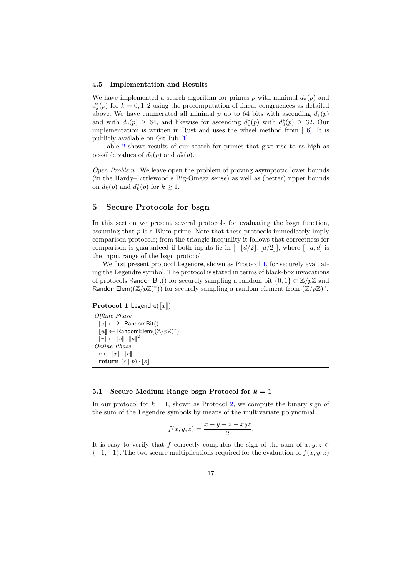#### 4.5 Implementation and Results

We have implemented a search algorithm for primes p with minimal  $d_k(p)$  and  $d_k^*(p)$  for  $k = 0, 1, 2$  using the precomputation of linear congruences as detailed above. We have enumerated all minimal p up to 64 bits with ascending  $d_1(p)$ and with  $d_0(p) \geq 64$ , and likewise for ascending  $d_1^*(p)$  with  $d_0^*(p) \geq 32$ . Our implementation is written in Rust and uses the wheel method from [\[16\]](#page-22-9). It is publicly available on GitHub [\[1\]](#page-21-6).

Table [2](#page-15-0) shows results of our search for primes that give rise to as high as possible values of  $d_1^*(p)$  and  $d_2^*(p)$ .

Open Problem. We leave open the problem of proving asymptotic lower bounds (in the Hardy–Littlewood's Big-Omega sense) as well as (better) upper bounds on  $d_k(p)$  and  $d_k^*(p)$  for  $k \geq 1$ .

## <span id="page-16-0"></span>5 Secure Protocols for bsgn

In this section we present several protocols for evaluating the bsgn function, assuming that  $p$  is a Blum prime. Note that these protocols immediately imply comparison protocols; from the triangle inequality it follows that correctness for comparison is guaranteed if both inputs lie in  $[-\lfloor d/2 \rfloor, \lfloor d/2 \rfloor]$ , where  $[-d, d]$  is the input range of the bsgn protocol.

We first present protocol Legendre, shown as Protocol [1,](#page-16-1) for securely evaluating the Legendre symbol. The protocol is stated in terms of black-box invocations of protocols RandomBit() for securely sampling a random bit  $\{0,1\} \subset \mathbb{Z}/p\mathbb{Z}$  and RandomElem $((\mathbb{Z}/p\mathbb{Z})^*)$  for securely sampling a random element from  $(\mathbb{Z}/p\mathbb{Z})^*$ .

<span id="page-16-1"></span>**Protocol 1 Legendre**( $\llbracket x \rrbracket$ )

Offline Phase  $[s] \leftarrow 2 \cdot \textsf{RandomBit}() - 1$  $\overline{[u]} \leftarrow$  RandomElem $((\mathbb{Z}/p\mathbb{Z})^*)$  $[r] \leftarrow [s] \cdot [u]^2$ Online Phase  $c \leftarrow \llbracket x \rrbracket \cdot \llbracket r \rrbracket$ return  $(c | p) \cdot [s]$ 

#### 5.1 Secure Medium-Range bsgn Protocol for  $k = 1$

In our protocol for  $k = 1$ , shown as Protocol [2,](#page-17-0) we compute the binary sign of the sum of the Legendre symbols by means of the multivariate polynomial

$$
f(x, y, z) = \frac{x + y + z - xyz}{2}.
$$

It is easy to verify that f correctly computes the sign of the sum of  $x, y, z \in$  $\{-1,+1\}$ . The two secure multiplications required for the evaluation of  $f(x, y, z)$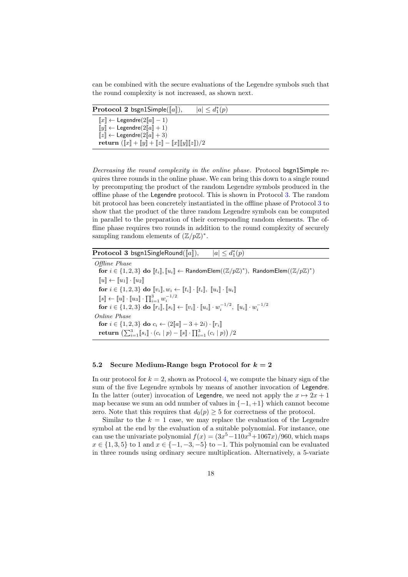can be combined with the secure evaluations of the Legendre symbols such that the round complexity is not increased, as shown next.

<span id="page-17-0"></span>

| $ a  \leq d_1^*(p)$<br><b>Protocol 2</b> bsgn1Simple( $  a  $ ),                                                                                                                                                                                                                                                                                                                   |  |
|------------------------------------------------------------------------------------------------------------------------------------------------------------------------------------------------------------------------------------------------------------------------------------------------------------------------------------------------------------------------------------|--|
| $\llbracket x \rrbracket \leftarrow$ Legendre( $2\llbracket a \rrbracket - 1$ )<br>$\llbracket y \rrbracket \leftarrow$ Legendre $(2\llbracket a \rrbracket + 1)$<br>$[z] \leftarrow$ Legendre( $2[a] + 3$ )<br>return $(\llbracket x \rrbracket + \llbracket y \rrbracket + \llbracket z \rrbracket - \llbracket x \rrbracket \llbracket y \rrbracket \llbracket z \rrbracket)/2$ |  |

Decreasing the round complexity in the online phase. Protocol bsgn1Simple requires three rounds in the online phase. We can bring this down to a single round by precomputing the product of the random Legendre symbols produced in the offline phase of the Legendre protocol. This is shown in Protocol [3.](#page-17-1) The random bit protocol has been concretely instantiated in the offline phase of Protocol [3](#page-17-1) to show that the product of the three random Legendre symbols can be computed in parallel to the preparation of their corresponding random elements. The offline phase requires two rounds in addition to the round complexity of securely sampling random elements of  $(\mathbb{Z}/p\mathbb{Z})^*$ .

<span id="page-17-1"></span>Protocol 3 bsgn1SingleRound( $[a]$ ),  $i(p)$ 

Offline Phase for  $i \in \{1,2,3\}$  do  $[[t_i] , [[u_i] \leftarrow \textsf{RandomElement}((\mathbb{Z}/p\mathbb{Z})^*), \textsf{RandomElement}((\mathbb{Z}/p\mathbb{Z})^*)$  $\llbracket u \rrbracket \leftarrow \llbracket u_1 \rrbracket \cdot \llbracket u_2 \rrbracket$ for  $i \in \{1,2,3\}$  do  $[\![v_i]\!], w_i \leftarrow [\![t_i]\!], [\![u_i]\!], [\![u_i]\!]\cdot [\![u_i]\!]$  $[s] \leftarrow [u] \cdot [u_3] \cdot \prod_{i=1}^3 w_i^{-1/2}$ for  $i \in \{1, 2, 3\}$  do  $[\![r_i]\!], [\![s_i]\!] \leftarrow [\![v_i]\!] \cdot [\![u_i]\!] \cdot w_i^{-1/2}, [\![u_i]\!] \cdot w_i^{-1/2}$ Online Phase for  $i \in \{1, 2, 3\}$  do  $c_i \leftarrow (2||a|| - 3 + 2i) \cdot ||r_i||$  $\textbf{return } \left(\sum_{i=1}^3 \llbracket s_i \rrbracket \cdot (c_i \mid p) - \llbracket s \rrbracket \cdot \prod_{i=1}^3 \left( c_i \mid p\right) \right)/2$ 

#### 5.2 Secure Medium-Range bsgn Protocol for  $k = 2$

In our protocol for  $k = 2$ , shown as Protocol [4,](#page-18-0) we compute the binary sign of the sum of the five Legendre symbols by means of another invocation of Legendre. In the latter (outer) invocation of Legendre, we need not apply the  $x \mapsto 2x + 1$ map because we sum an odd number of values in  $\{-1, +1\}$  which cannot become zero. Note that this requires that  $d_0(p) \geq 5$  for correctness of the protocol.

Similar to the  $k = 1$  case, we may replace the evaluation of the Legendre symbol at the end by the evaluation of a suitable polynomial. For instance, one can use the univariate polynomial  $f(x) = (3x^5 - 110x^3 + 1067x)/960$ , which maps  $x \in \{1, 3, 5\}$  to 1 and  $x \in \{-1, -3, -5\}$  to  $-1$ . This polynomial can be evaluated in three rounds using ordinary secure multiplication. Alternatively, a 5-variate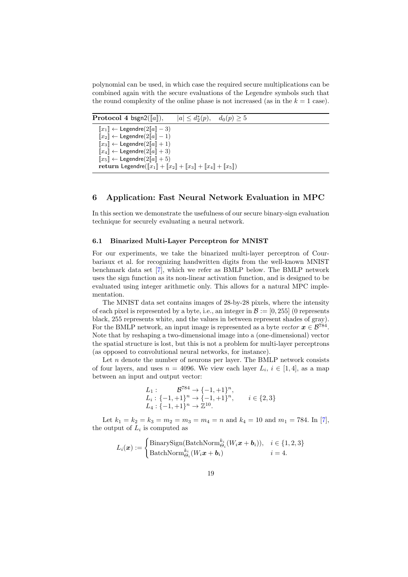polynomial can be used, in which case the required secure multiplications can be combined again with the secure evaluations of the Legendre symbols such that the round complexity of the online phase is not increased (as in the  $k = 1$  case).

<span id="page-18-0"></span>

| <b>Protocol 4 bsgn2</b> ( $[a]$ ),                                                                                                                                                                                                                                                                                                                                                                                                                          | $ a  \leq d_2^*(p)$ , $d_0(p) \geq 5$ |  |  |
|-------------------------------------------------------------------------------------------------------------------------------------------------------------------------------------------------------------------------------------------------------------------------------------------------------------------------------------------------------------------------------------------------------------------------------------------------------------|---------------------------------------|--|--|
| $  x_1   \leftarrow$ Legendre(2  a   - 3)<br>$\llbracket x_2 \rrbracket \leftarrow$ Legendre $(2\llbracket a \rrbracket - 1)$<br>$\llbracket x_3 \rrbracket \leftarrow$ Legendre $(2\llbracket a \rrbracket + 1)$<br>$\llbracket x_4 \rrbracket \leftarrow \text{Legendre}(2\llbracket a \rrbracket + 3)$<br>$\llbracket x_5 \rrbracket \leftarrow$ Legendre $(2\llbracket a \rrbracket + 5)$<br>return Legendre( $[x_1] + [x_2] + [x_3] + [x_4] + [x_5]$ ) |                                       |  |  |

## 6 Application: Fast Neural Network Evaluation in MPC

In this section we demonstrate the usefulness of our secure binary-sign evaluation technique for securely evaluating a neural network.

#### 6.1 Binarized Multi-Layer Perceptron for MNIST

For our experiments, we take the binarized multi-layer perceptron of Courbariaux et al. for recognizing handwritten digits from the well-known MNIST benchmark data set [\[7\]](#page-21-1), which we refer as BMLP below. The BMLP network uses the sign function as its non-linear activation function, and is designed to be evaluated using integer arithmetic only. This allows for a natural MPC implementation.

The MNIST data set contains images of 28-by-28 pixels, where the intensity of each pixel is represented by a byte, i.e., an integer in  $\mathcal{B} := [0, 255]$  (0 represents black, 255 represents white, and the values in between represent shades of gray). For the BMLP network, an input image is represented as a byte vector  $x \in \mathcal{B}^{784}$ . Note that by reshaping a two-dimensional image into a (one-dimensional) vector the spatial structure is lost, but this is not a problem for multi-layer perceptrons (as opposed to convolutional neural networks, for instance).

Let  $n$  denote the number of neurons per layer. The BMLP network consists of four layers, and uses  $n = 4096$ . We view each layer  $L_i$ ,  $i \in [1, 4]$ , as a map between an input and output vector:

$$
L_1: \qquad \mathcal{B}^{784} \to \{-1, +1\}^n,
$$
  
\n
$$
L_i: \{-1, +1\}^n \to \{-1, +1\}^n,
$$
  
\n
$$
L_4: \{-1, +1\}^n \to \mathbb{Z}^{10}.
$$
  
\n
$$
i \in \{2, 3\}
$$

Let  $k_1 = k_2 = k_3 = m_2 = m_3 = m_4 = n$  and  $k_4 = 10$  and  $m_1 = 784$ . In [\[7\]](#page-21-1), the output of  $L_i$  is computed as

$$
L_i(\boldsymbol{x}) := \begin{cases} \text{BinarySign}(\text{BatchNorm}_{\Theta_i}^{k_i}(W_i \boldsymbol{x} + \boldsymbol{b}_i)), & i \in \{1, 2, 3\} \\ \text{BatchNorm}_{\Theta_i}^{k_i}(W_i \boldsymbol{x} + \boldsymbol{b}_i) & i = 4. \end{cases}
$$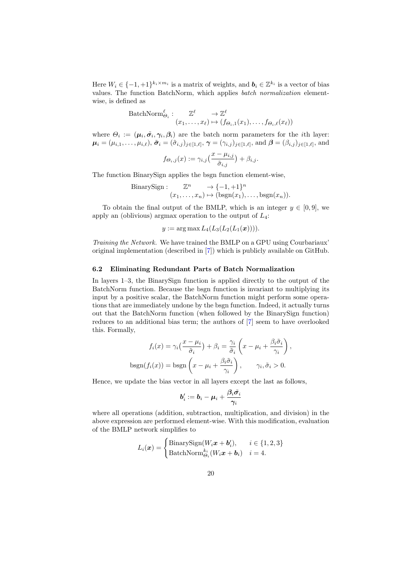Here  $W_i \in \{-1, +1\}^{k_i \times m_i}$  is a matrix of weights, and  $\mathbf{b}_i \in \mathbb{Z}^{k_i}$  is a vector of bias values. The function BatchNorm, which applies batch normalization elementwise, is defined as

$$
BatchNorm_{\Theta_i}^{\ell} : \mathbb{Z}^{\ell} \to \mathbb{Z}^{\ell} \newline (x_1, \ldots, x_{\ell}) \mapsto (f_{\Theta_i, 1}(x_1), \ldots, f_{\Theta_i, \ell}(x_{\ell}))
$$

where  $\Theta_i := (\mu_i, \tilde{\sigma}_i, \gamma_i, \beta_i)$  are the batch norm parameters for the *i*th layer:  $\boldsymbol{\mu}_i = (\mu_{i,1}, \ldots, \mu_{i,\ell}), \tilde{\boldsymbol{\sigma}}_i = (\tilde{\sigma}_{i,j})_{j \in [1,\ell]}, \boldsymbol{\gamma} = (\gamma_{i,j})_{j \in [1,\ell]}, \text{ and } \boldsymbol{\beta} = (\beta_{i,j})_{j \in [1,\ell]}, \text{ and}$ 

$$
f_{\Theta_i,j}(x) := \gamma_{i,j} \left( \frac{x - \mu_{i,j}}{\tilde{\sigma}_{i,j}} \right) + \beta_{i,j}.
$$

The function BinarySign applies the bsgn function element-wise,

BinarySign: 
$$
\mathbb{Z}^n \to \{-1, +1\}^n
$$
  
\n $(x_1, \ldots, x_n) \mapsto (\text{bsgn}(x_1), \ldots, \text{bsgn}(x_n)).$ 

To obtain the final output of the BMLP, which is an integer  $y \in [0, 9]$ , we apply an (oblivious) argmax operation to the output of  $L_4$ :

 $y := \arg \max L_4(L_3(L_2(L_1(\bm{x}))))$ .

Training the Network. We have trained the BMLP on a GPU using Courbariaux' original implementation (described in [\[7\]](#page-21-1)) which is publicly available on GitHub.

#### 6.2 Eliminating Redundant Parts of Batch Normalization

In layers 1–3, the BinarySign function is applied directly to the output of the BatchNorm function. Because the bsgn function is invariant to multiplying its input by a positive scalar, the BatchNorm function might perform some operations that are immediately undone by the bsgn function. Indeed, it actually turns out that the BatchNorm function (when followed by the BinarySign function) reduces to an additional bias term; the authors of [\[7\]](#page-21-1) seem to have overlooked this. Formally,

$$
f_i(x) = \gamma_i \left( \frac{x - \mu_i}{\tilde{\sigma}_i} \right) + \beta_i = \frac{\gamma_i}{\tilde{\sigma}_i} \left( x - \mu_i + \frac{\beta_i \tilde{\sigma}_i}{\gamma_i} \right),
$$

$$
\text{bsgn}(f_i(x)) = \text{bsgn}\left( x - \mu_i + \frac{\beta_i \tilde{\sigma}_i}{\gamma_i} \right), \qquad \gamma_i, \tilde{\sigma}_i > 0.
$$

Hence, we update the bias vector in all layers except the last as follows,

$$
\boldsymbol{b}_i':=\boldsymbol{b}_i-\boldsymbol{\mu}_i+\frac{\boldsymbol{\beta}_i \tilde{\boldsymbol{\sigma}_i}}{\gamma_i}
$$

where all operations (addition, subtraction, multiplication, and division) in the above expression are performed element-wise. With this modification, evaluation of the BMLP network simplifies to

$$
L_i(\boldsymbol{x}) = \begin{cases} \text{BinarySign}(W_i \boldsymbol{x} + \boldsymbol{b}_i'), & i \in \{1, 2, 3\} \\ \text{BatchNorm}_{\Theta_i}^{k_i}(W_i \boldsymbol{x} + \boldsymbol{b}_i) & i = 4. \end{cases}
$$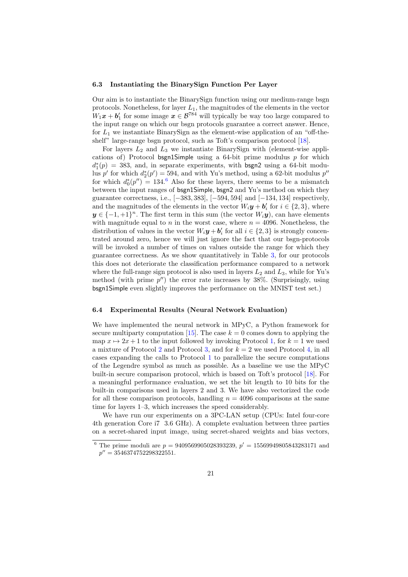#### 6.3 Instantiating the BinarySign Function Per Layer

Our aim is to instantiate the BinarySign function using our medium-range bsgn protocols. Nonetheless, for layer  $L_1$ , the magnitudes of the elements in the vector  $W_1$ **x** + **b'**<sub>1</sub> for some image  $x \in \mathcal{B}^{784}$  will typically be way too large compared to the input range on which our bsgn protocols guarantee a correct answer. Hence, for  $L_1$  we instantiate BinarySign as the element-wise application of an "off-the-shelf" large-range bsgn protocol, such as Toft's comparison protocol [\[18\]](#page-22-13).

For layers  $L_2$  and  $L_3$  we instantiate BinarySign with (element-wise applications of) Protocol bsgn1Simple using a  $64$ -bit prime modulus p for which  $d_1^*(p) = 383$ , and, in separate experiments, with bsgn2 using a 64-bit modulus p' for which  $d_2^*(p') = 594$ , and with Yu's method, using a 62-bit modulus  $p''$ for which  $d_0^*(p'') = 134.6$  $d_0^*(p'') = 134.6$  Also for these layers, there seems to be a mismatch between the input ranges of bsgn1Simple, bsgn2 and Yu's method on which they guarantee correctness, i.e., [−383, 383], [−594, 594] and [−134, 134] respectively, and the magnitudes of the elements in the vector  $W_i \mathbf{y} + \mathbf{b}'_i$  for  $i \in \{2,3\}$ , where  $y \in \{-1, +1\}^n$ . The first term in this sum (the vector  $W_i(y)$ ), can have elements with magnitude equal to n in the worst case, where  $n = 4096$ . Nonetheless, the distribution of values in the vector  $W_i \mathbf{y} + \mathbf{b}'_i$  for all  $i \in \{2,3\}$  is strongly concentrated around zero, hence we will just ignore the fact that our bsgn-protocols will be invoked a number of times on values outside the range for which they guarantee correctness. As we show quantitatively in Table [3,](#page-21-7) for our protocols this does not deteriorate the classification performance compared to a network where the full-range sign protocol is also used in layers  $L_2$  and  $L_3$ , while for Yu's method (with prime  $p''$ ) the error rate increases by 38%. (Surprisingly, using bsgn1Simple even slightly improves the performance on the MNIST test set.)

#### 6.4 Experimental Results (Neural Network Evaluation)

We have implemented the neural network in MPyC, a Python framework for secure multiparty computation [\[15\]](#page-22-14). The case  $k = 0$  comes down to applying the map  $x \mapsto 2x + 1$  to the input followed by invoking Protocol [1,](#page-16-1) for  $k = 1$  we used a mixture of Protocol [2](#page-17-0) and Protocol [3,](#page-17-1) and for  $k = 2$  we used Protocol [4,](#page-18-0) in all cases expanding the calls to Protocol [1](#page-16-1) to parallelize the secure computations of the Legendre symbol as much as possible. As a baseline we use the MPyC built-in secure comparison protocol, which is based on Toft's protocol [\[18\]](#page-22-13). For a meaningful performance evaluation, we set the bit length to 10 bits for the built-in comparisons used in layers 2 and 3. We have also vectorized the code for all these comparison protocols, handling  $n = 4096$  comparisons at the same time for layers 1–3, which increases the speed considerably.

We have run our experiments on a 3PC-LAN setup (CPUs: Intel four-core 4th generation Core i7 3.6 GHz). A complete evaluation between three parties on a secret-shared input image, using secret-shared weights and bias vectors,

<span id="page-20-0"></span><sup>&</sup>lt;sup>6</sup> The prime moduli are  $p = 9409569905028393239$ ,  $p' = 15569949805843283171$  and  $p'' = 3546374752298322551.$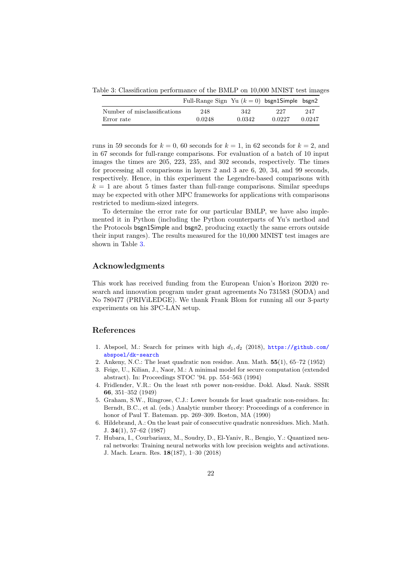<span id="page-21-7"></span>Table 3: Classification performance of the BMLP on 10,000 MNIST test images

|                              | Full-Range Sign Yu $(k = 0)$ bsgn1Simple bsgn2 |        |        |        |
|------------------------------|------------------------------------------------|--------|--------|--------|
| Number of misclassifications | 248                                            | 342    | 227    | 247    |
| Error rate                   | 0.0248                                         | 0.0342 | 0.0227 | 0.0247 |

runs in 59 seconds for  $k = 0$ , 60 seconds for  $k = 1$ , in 62 seconds for  $k = 2$ , and in 67 seconds for full-range comparisons. For evaluation of a batch of 10 input images the times are 205, 223, 235, and 302 seconds, respectively. The times for processing all comparisons in layers 2 and 3 are 6, 20, 34, and 99 seconds, respectively. Hence, in this experiment the Legendre-based comparisons with  $k = 1$  are about 5 times faster than full-range comparisons. Similar speedups may be expected with other MPC frameworks for applications with comparisons restricted to medium-sized integers.

To determine the error rate for our particular BMLP, we have also implemented it in Python (including the Python counterparts of Yu's method and the Protocols bsgn1Simple and bsgn2, producing exactly the same errors outside their input ranges). The results measured for the 10,000 MNIST test images are shown in Table [3.](#page-21-7)

## Acknowledgments

This work has received funding from the European Union's Horizon 2020 research and innovation program under grant agreements No 731583 (SODA) and No 780477 (PRIViLEDGE). We thank Frank Blom for running all our 3-party experiments on his 3PC-LAN setup.

## References

- <span id="page-21-6"></span>1. Abspoel, M.: Search for primes with high  $d_1, d_2$  (2018), [https://github.com/](https://github.com/abspoel/dk-search) [abspoel/dk-search](https://github.com/abspoel/dk-search)
- <span id="page-21-4"></span>2. Ankeny, N.C.: The least quadratic non residue. Ann. Math. 55(1), 65–72 (1952)
- <span id="page-21-0"></span>3. Feige, U., Kilian, J., Naor, M.: A minimal model for secure computation (extended abstract). In: Proceedings STOC '94. pp. 554–563 (1994)
- <span id="page-21-3"></span>4. Fridlender, V.R.: On the least nth power non-residue. Dokl. Akad. Nauk. SSSR 66, 351–352 (1949)
- <span id="page-21-2"></span>5. Graham, S.W., Ringrose, C.J.: Lower bounds for least quadratic non-residues. In: Berndt, B.C., et al. (eds.) Analytic number theory: Proceedings of a conference in honor of Paul T. Bateman. pp. 269–309. Boston, MA (1990)
- <span id="page-21-5"></span>6. Hildebrand, A.: On the least pair of consecutive quadratic nonresidues. Mich. Math. J. 34(1), 57–62 (1987)
- <span id="page-21-1"></span>7. Hubara, I., Courbariaux, M., Soudry, D., El-Yaniv, R., Bengio, Y.: Quantized neural networks: Training neural networks with low precision weights and activations. J. Mach. Learn. Res. 18(187), 1–30 (2018)